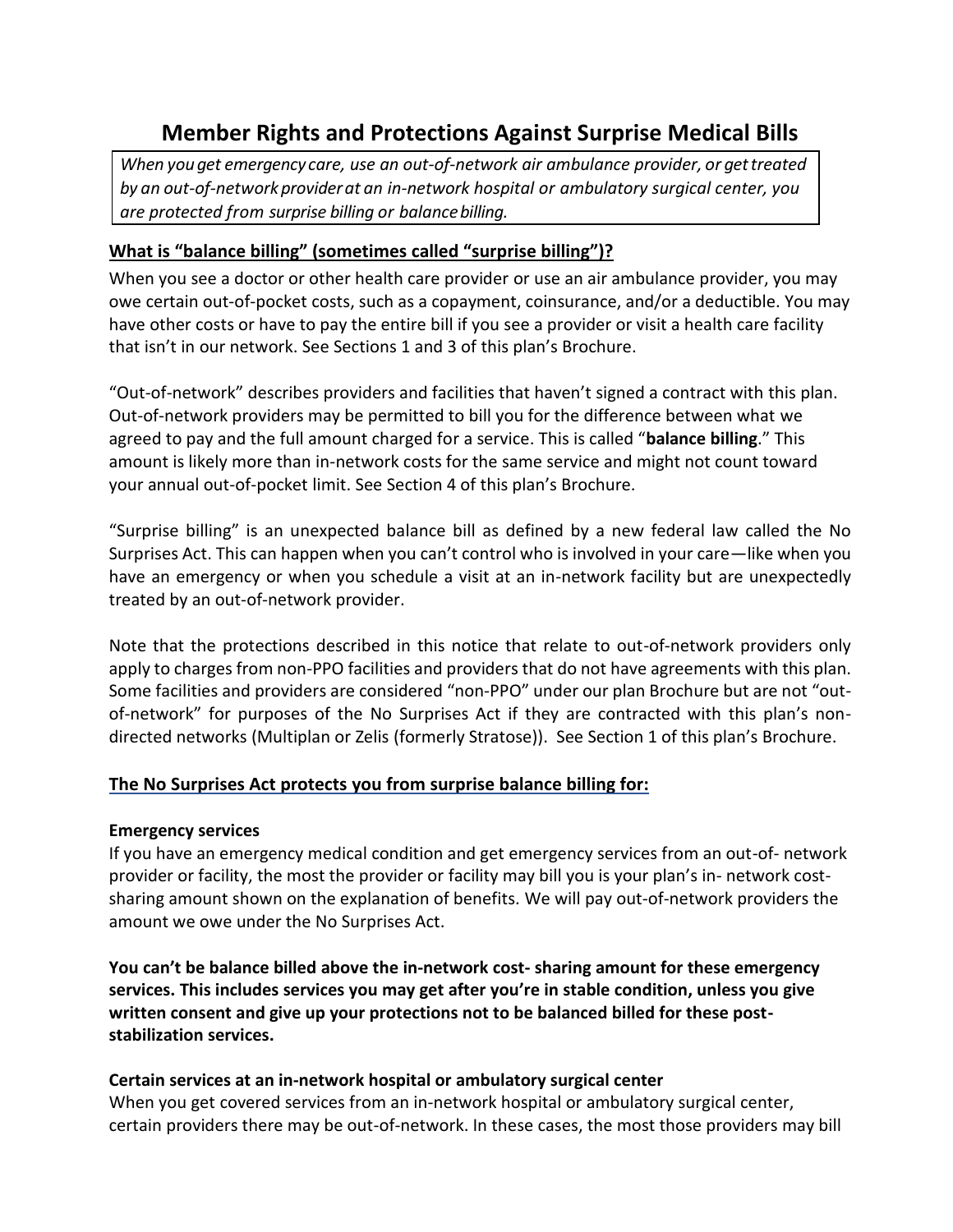# **Member Rights and Protections Against Surprise Medical Bills**

*When youget emergency care, use an out-of-network air ambulance provider, or gettreated by an out-of-networkproviderat an in-network hospital or ambulatory surgical center, you are protected from surprise billing or balancebilling.*

# **What is "balance billing" (sometimes called "surprise billing")?**

When you see a doctor or other health care provider or use an air ambulance provider, you may owe certain out-of-pocket costs, such as a copayment, coinsurance, and/or a deductible. You may have other costs or have to pay the entire bill if you see a provider or visit a health care facility that isn't in our network. See Sections 1 and 3 of this plan's Brochure.

"Out-of-network" describes providers and facilities that haven't signed a contract with this plan. Out-of-network providers may be permitted to bill you for the difference between what we agreed to pay and the full amount charged for a service. This is called "**balance billing**." This amount is likely more than in-network costs for the same service and might not count toward your annual out-of-pocket limit. See Section 4 of this plan's Brochure.

"Surprise billing" is an unexpected balance bill as defined by a new federal law called the No Surprises Act. This can happen when you can't control who is involved in your care—like when you have an emergency or when you schedule a visit at an in-network facility but are unexpectedly treated by an out-of-network provider.

Note that the protections described in this notice that relate to out-of-network providers only apply to charges from non-PPO facilities and providers that do not have agreements with this plan. Some facilities and providers are considered "non-PPO" under our plan Brochure but are not "outof-network" for purposes of the No Surprises Act if they are contracted with this plan's nondirected networks (Multiplan or Zelis (formerly Stratose)). See Section 1 of this plan's Brochure.

# **The No Surprises Act protects you from surprise balance billing for:**

#### **Emergency services**

If you have an emergency medical condition and get emergency services from an out-of- network provider or facility, the most the provider or facility may bill you is your plan's in- network costsharing amount shown on the explanation of benefits. We will pay out-of-network providers the amount we owe under the No Surprises Act.

**You can't be balance billed above the in-network cost- sharing amount for these emergency services. This includes services you may get after you're in stable condition, unless you give written consent and give up your protections not to be balanced billed for these poststabilization services.**

#### **Certain services at an in-network hospital or ambulatory surgical center**

When you get covered services from an in-network hospital or ambulatory surgical center, certain providers there may be out-of-network. In these cases, the most those providers may bill